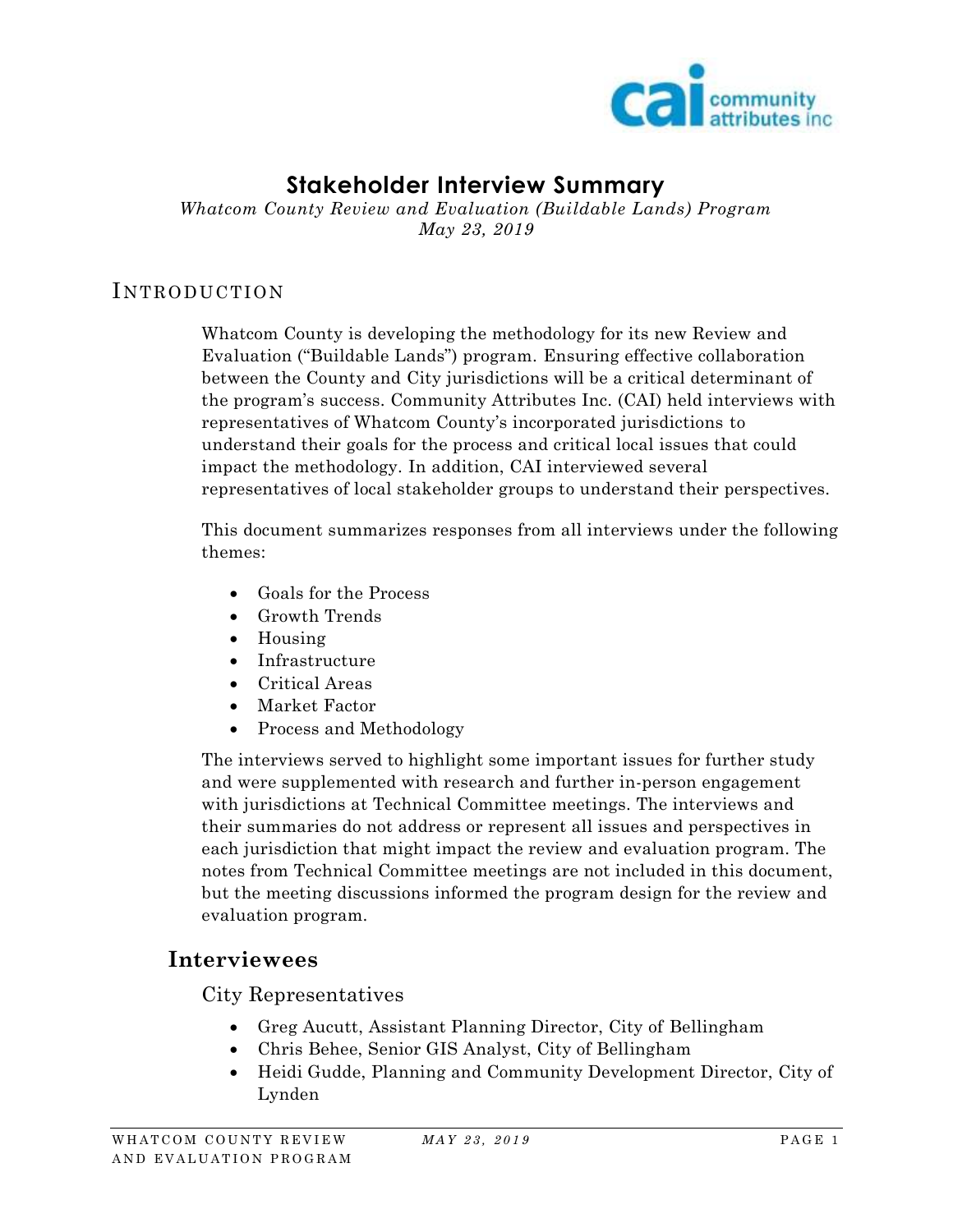

# **Stakeholder Interview Summary**

*Whatcom County Review and Evaluation (Buildable Lands) Program May 23, 2019*

## **INTRODUCTION**

Whatcom County is developing the methodology for its new Review and Evaluation ("Buildable Lands") program. Ensuring effective collaboration between the County and City jurisdictions will be a critical determinant of the program's success. Community Attributes Inc. (CAI) held interviews with representatives of Whatcom County's incorporated jurisdictions to understand their goals for the process and critical local issues that could impact the methodology. In addition, CAI interviewed several representatives of local stakeholder groups to understand their perspectives.

This document summarizes responses from all interviews under the following themes:

- Goals for the Process
- Growth Trends
- Housing
- Infrastructure
- Critical Areas
- Market Factor
- Process and Methodology

The interviews served to highlight some important issues for further study and were supplemented with research and further in-person engagement with jurisdictions at Technical Committee meetings. The interviews and their summaries do not address or represent all issues and perspectives in each jurisdiction that might impact the review and evaluation program. The notes from Technical Committee meetings are not included in this document, but the meeting discussions informed the program design for the review and evaluation program.

## **Interviewees**

City Representatives

- Greg Aucutt, Assistant Planning Director, City of Bellingham
- Chris Behee, Senior GIS Analyst, City of Bellingham
- Heidi Gudde, Planning and Community Development Director, City of Lynden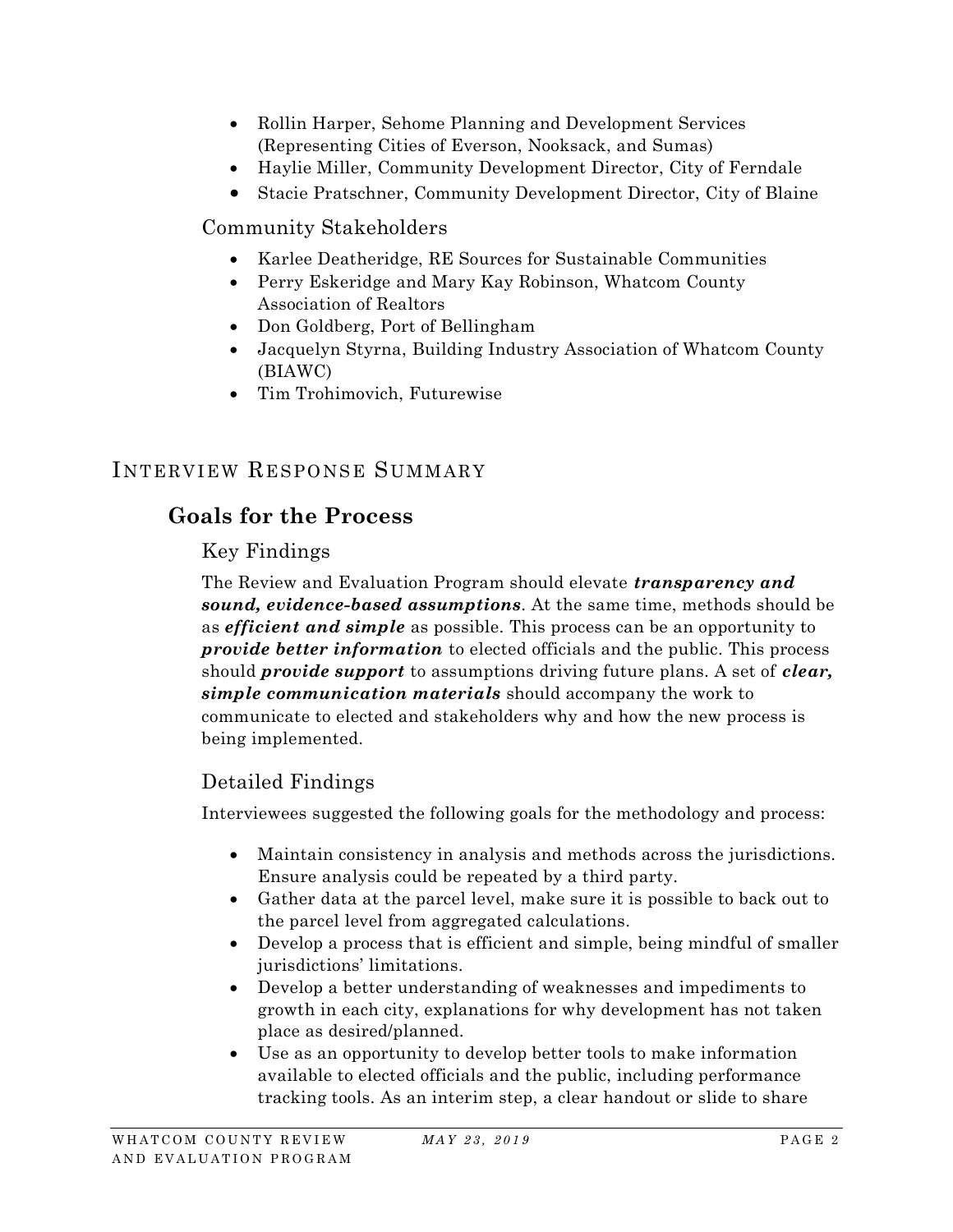- Rollin Harper, Sehome Planning and Development Services (Representing Cities of Everson, Nooksack, and Sumas)
- Haylie Miller, Community Development Director, City of Ferndale
- Stacie Pratschner, Community Development Director, City of Blaine

## Community Stakeholders

- Karlee Deatheridge, RE Sources for Sustainable Communities
- Perry Eskeridge and Mary Kay Robinson, Whatcom County Association of Realtors
- Don Goldberg, Port of Bellingham
- Jacquelyn Styrna, Building Industry Association of Whatcom County (BIAWC)
- Tim Trohimovich, Futurewise

# INTERVIEW RESPONSE SUMMARY

# **Goals for the Process**

# Key Findings

The Review and Evaluation Program should elevate *transparency and sound, evidence-based assumptions*. At the same time, methods should be as *efficient and simple* as possible. This process can be an opportunity to *provide better information* to elected officials and the public. This process should *provide support* to assumptions driving future plans. A set of *clear, simple communication materials* should accompany the work to communicate to elected and stakeholders why and how the new process is being implemented.

# Detailed Findings

Interviewees suggested the following goals for the methodology and process:

- Maintain consistency in analysis and methods across the jurisdictions. Ensure analysis could be repeated by a third party.
- Gather data at the parcel level, make sure it is possible to back out to the parcel level from aggregated calculations.
- Develop a process that is efficient and simple, being mindful of smaller jurisdictions' limitations.
- Develop a better understanding of weaknesses and impediments to growth in each city, explanations for why development has not taken place as desired/planned.
- Use as an opportunity to develop better tools to make information available to elected officials and the public, including performance tracking tools. As an interim step, a clear handout or slide to share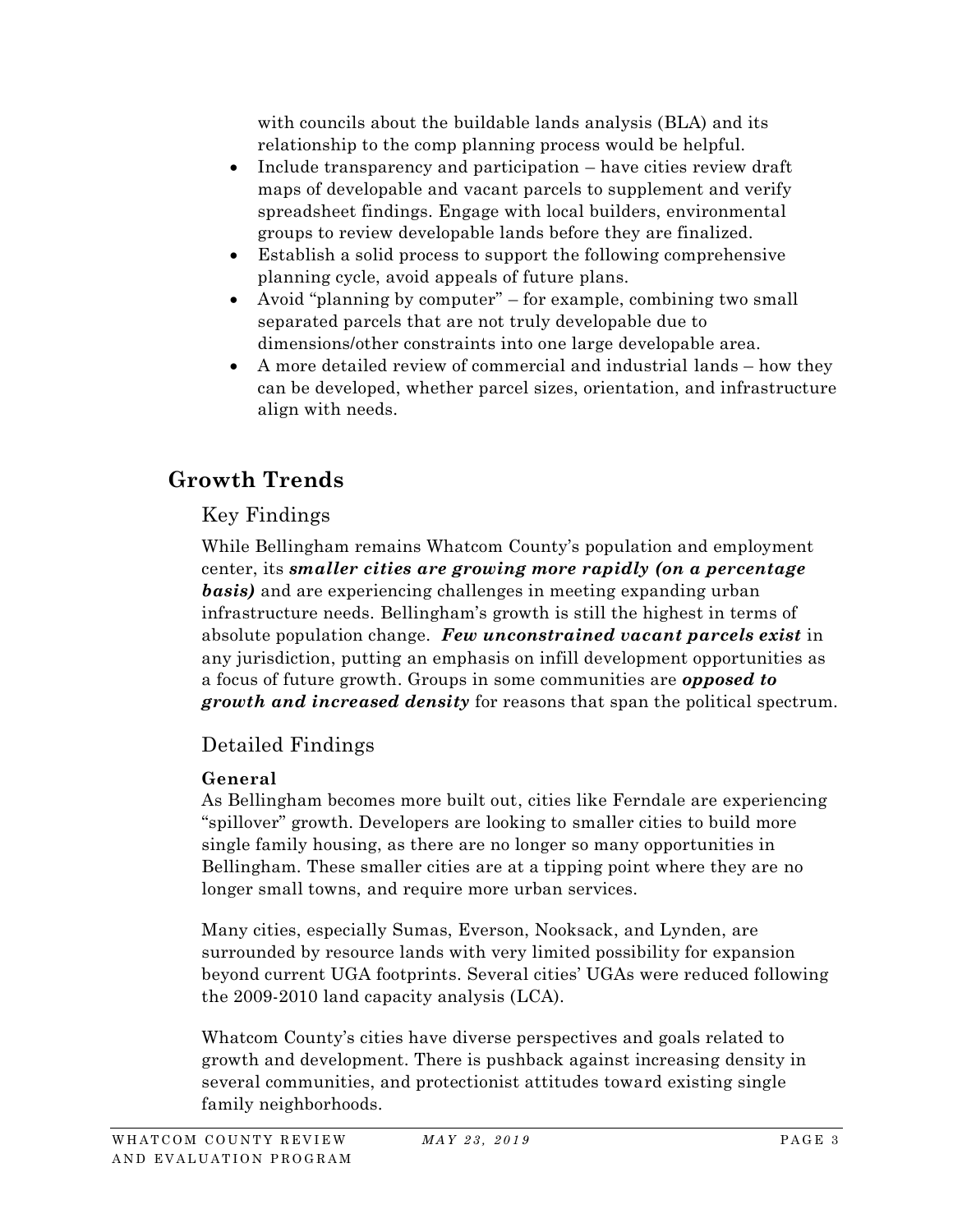with councils about the buildable lands analysis (BLA) and its relationship to the comp planning process would be helpful.

- Include transparency and participation have cities review draft maps of developable and vacant parcels to supplement and verify spreadsheet findings. Engage with local builders, environmental groups to review developable lands before they are finalized.
- Establish a solid process to support the following comprehensive planning cycle, avoid appeals of future plans.
- Avoid "planning by computer" for example, combining two small separated parcels that are not truly developable due to dimensions/other constraints into one large developable area.
- A more detailed review of commercial and industrial lands how they can be developed, whether parcel sizes, orientation, and infrastructure align with needs.

# **Growth Trends**

# Key Findings

While Bellingham remains Whatcom County's population and employment center, its *smaller cities are growing more rapidly (on a percentage basis)* and are experiencing challenges in meeting expanding urban infrastructure needs. Bellingham's growth is still the highest in terms of absolute population change. *Few unconstrained vacant parcels exist* in any jurisdiction, putting an emphasis on infill development opportunities as a focus of future growth. Groups in some communities are *opposed to growth and increased density* for reasons that span the political spectrum.

# Detailed Findings

## **General**

As Bellingham becomes more built out, cities like Ferndale are experiencing "spillover" growth. Developers are looking to smaller cities to build more single family housing, as there are no longer so many opportunities in Bellingham. These smaller cities are at a tipping point where they are no longer small towns, and require more urban services.

Many cities, especially Sumas, Everson, Nooksack, and Lynden, are surrounded by resource lands with very limited possibility for expansion beyond current UGA footprints. Several cities' UGAs were reduced following the 2009-2010 land capacity analysis (LCA).

Whatcom County's cities have diverse perspectives and goals related to growth and development. There is pushback against increasing density in several communities, and protectionist attitudes toward existing single family neighborhoods.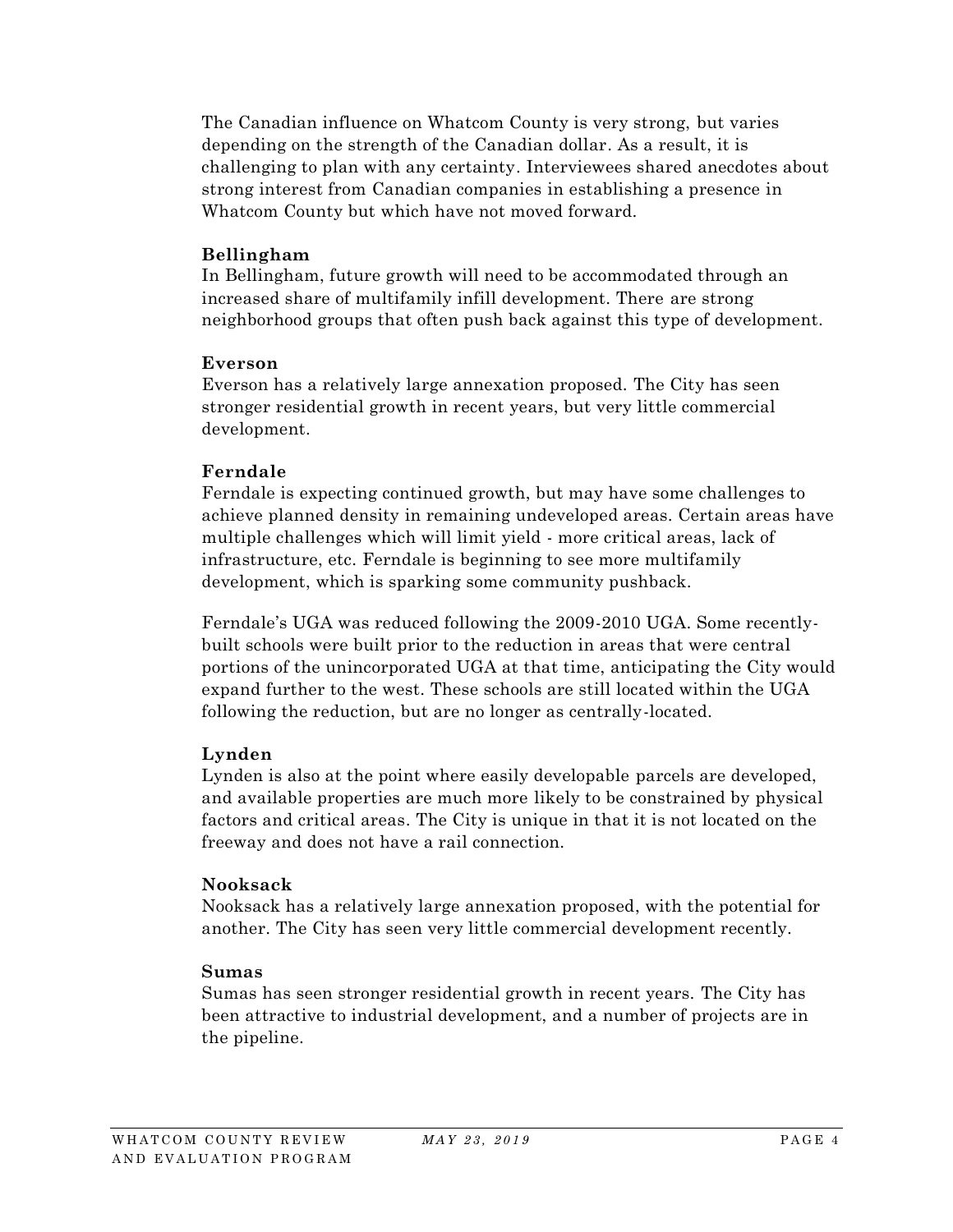The Canadian influence on Whatcom County is very strong, but varies depending on the strength of the Canadian dollar. As a result, it is challenging to plan with any certainty. Interviewees shared anecdotes about strong interest from Canadian companies in establishing a presence in Whatcom County but which have not moved forward.

#### **Bellingham**

In Bellingham, future growth will need to be accommodated through an increased share of multifamily infill development. There are strong neighborhood groups that often push back against this type of development.

#### **Everson**

Everson has a relatively large annexation proposed. The City has seen stronger residential growth in recent years, but very little commercial development.

#### **Ferndale**

Ferndale is expecting continued growth, but may have some challenges to achieve planned density in remaining undeveloped areas. Certain areas have multiple challenges which will limit yield - more critical areas, lack of infrastructure, etc. Ferndale is beginning to see more multifamily development, which is sparking some community pushback.

Ferndale's UGA was reduced following the 2009-2010 UGA. Some recentlybuilt schools were built prior to the reduction in areas that were central portions of the unincorporated UGA at that time, anticipating the City would expand further to the west. These schools are still located within the UGA following the reduction, but are no longer as centrally-located.

#### **Lynden**

Lynden is also at the point where easily developable parcels are developed, and available properties are much more likely to be constrained by physical factors and critical areas. The City is unique in that it is not located on the freeway and does not have a rail connection.

#### **Nooksack**

Nooksack has a relatively large annexation proposed, with the potential for another. The City has seen very little commercial development recently.

#### **Sumas**

Sumas has seen stronger residential growth in recent years. The City has been attractive to industrial development, and a number of projects are in the pipeline.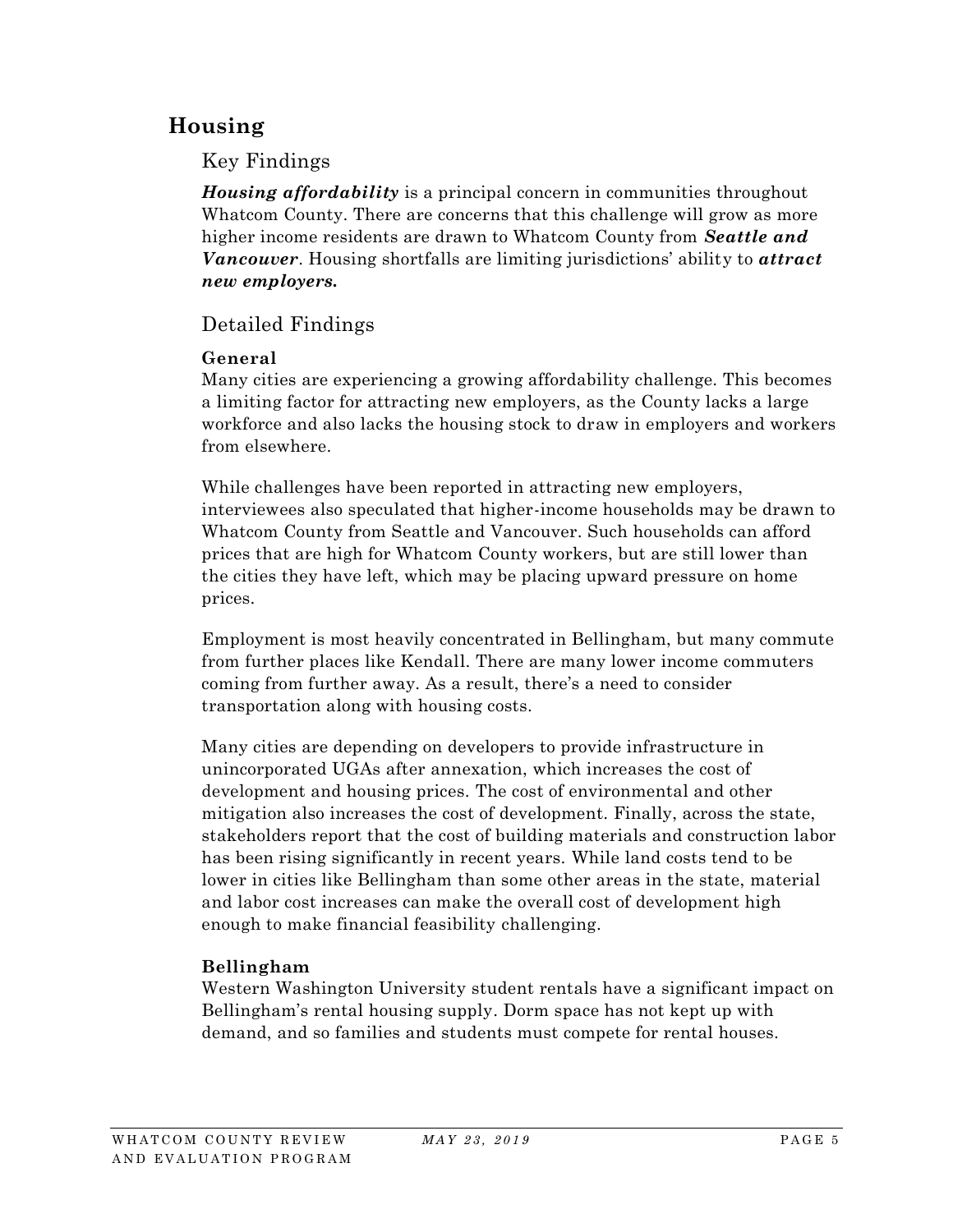# **Housing**

## Key Findings

*Housing affordability* is a principal concern in communities throughout Whatcom County. There are concerns that this challenge will grow as more higher income residents are drawn to Whatcom County from *Seattle and Vancouver*. Housing shortfalls are limiting jurisdictions' ability to *attract new employers.*

## Detailed Findings

#### **General**

Many cities are experiencing a growing affordability challenge. This becomes a limiting factor for attracting new employers, as the County lacks a large workforce and also lacks the housing stock to draw in employers and workers from elsewhere.

While challenges have been reported in attracting new employers, interviewees also speculated that higher-income households may be drawn to Whatcom County from Seattle and Vancouver. Such households can afford prices that are high for Whatcom County workers, but are still lower than the cities they have left, which may be placing upward pressure on home prices.

Employment is most heavily concentrated in Bellingham, but many commute from further places like Kendall. There are many lower income commuters coming from further away. As a result, there's a need to consider transportation along with housing costs.

Many cities are depending on developers to provide infrastructure in unincorporated UGAs after annexation, which increases the cost of development and housing prices. The cost of environmental and other mitigation also increases the cost of development. Finally, across the state, stakeholders report that the cost of building materials and construction labor has been rising significantly in recent years. While land costs tend to be lower in cities like Bellingham than some other areas in the state, material and labor cost increases can make the overall cost of development high enough to make financial feasibility challenging.

### **Bellingham**

Western Washington University student rentals have a significant impact on Bellingham's rental housing supply. Dorm space has not kept up with demand, and so families and students must compete for rental houses.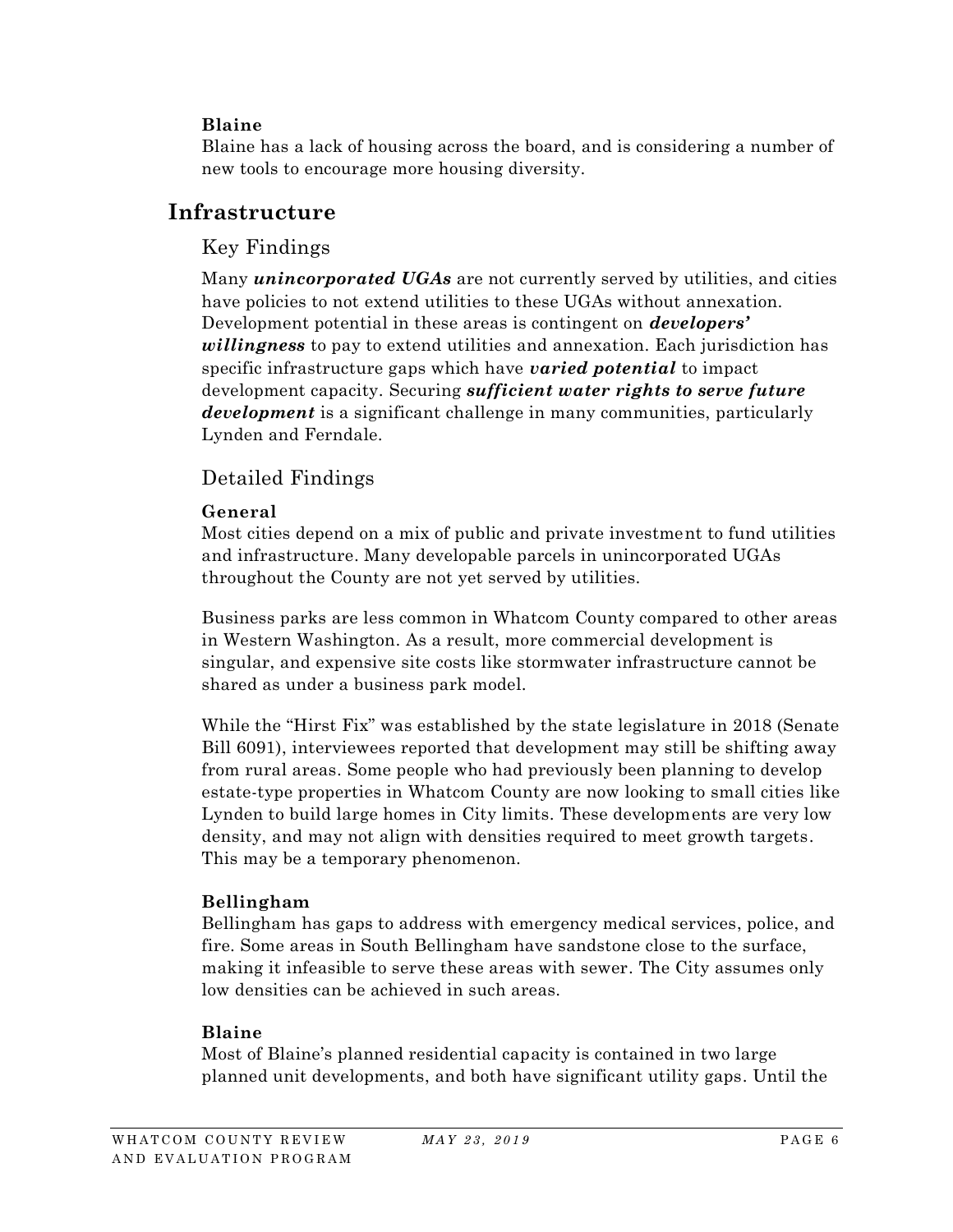#### **Blaine**

Blaine has a lack of housing across the board, and is considering a number of new tools to encourage more housing diversity.

# **Infrastructure**

### Key Findings

Many *unincorporated UGAs* are not currently served by utilities, and cities have policies to not extend utilities to these UGAs without annexation. Development potential in these areas is contingent on *developers' willingness* to pay to extend utilities and annexation. Each jurisdiction has specific infrastructure gaps which have *varied potential* to impact development capacity. Securing *sufficient water rights to serve future development* is a significant challenge in many communities, particularly Lynden and Ferndale.

## Detailed Findings

#### **General**

Most cities depend on a mix of public and private investment to fund utilities and infrastructure. Many developable parcels in unincorporated UGAs throughout the County are not yet served by utilities.

Business parks are less common in Whatcom County compared to other areas in Western Washington. As a result, more commercial development is singular, and expensive site costs like stormwater infrastructure cannot be shared as under a business park model.

While the "Hirst Fix" was established by the state legislature in 2018 (Senate Bill 6091), interviewees reported that development may still be shifting away from rural areas. Some people who had previously been planning to develop estate-type properties in Whatcom County are now looking to small cities like Lynden to build large homes in City limits. These developments are very low density, and may not align with densities required to meet growth targets. This may be a temporary phenomenon.

#### **Bellingham**

Bellingham has gaps to address with emergency medical services, police, and fire. Some areas in South Bellingham have sandstone close to the surface, making it infeasible to serve these areas with sewer. The City assumes only low densities can be achieved in such areas.

### **Blaine**

Most of Blaine's planned residential capacity is contained in two large planned unit developments, and both have significant utility gaps. Until the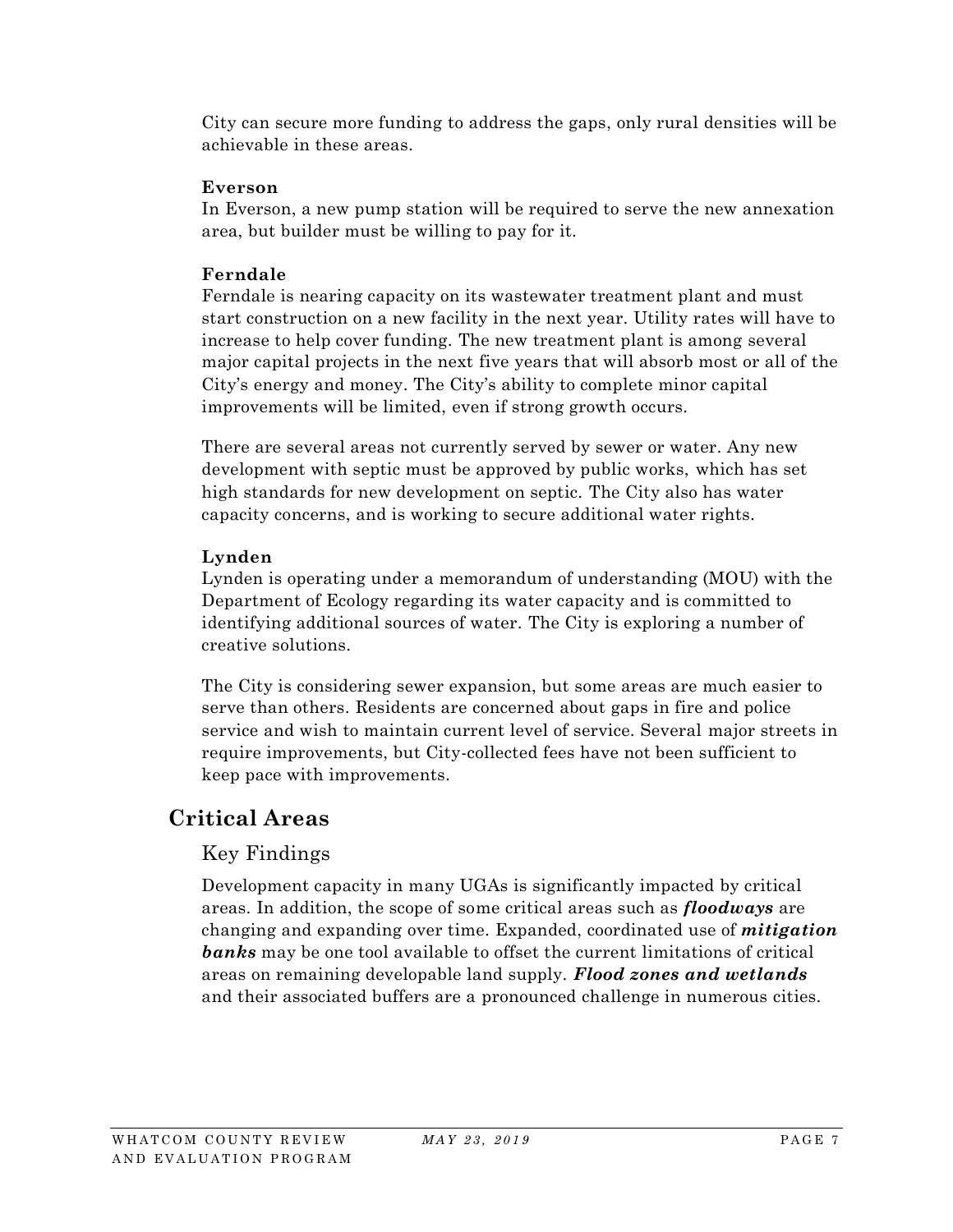City can secure more funding to address the gaps, only rural densities will be achievable in these areas.

#### **Everson**

In Everson, a new pump station will be required to serve the new annexation area, but builder must be willing to pay for it.

### **Ferndale**

Ferndale is nearing capacity on its wastewater treatment plant and must start construction on a new facility in the next year. Utility rates will have to increase to help cover funding. The new treatment plant is among several major capital projects in the next five years that will absorb most or all of the City's energy and money. The City's ability to complete minor capital improvements will be limited, even if strong growth occurs.

There are several areas not currently served by sewer or water. Any new development with septic must be approved by public works, which has set high standards for new development on septic. The City also has water capacity concerns, and is working to secure additional water rights.

## **Lynden**

Lynden is operating under a memorandum of understanding (MOU) with the Department of Ecology regarding its water capacity and is committed to identifying additional sources of water. The City is exploring a number of creative solutions.

The City is considering sewer expansion, but some areas are much easier to serve than others. Residents are concerned about gaps in fire and police service and wish to maintain current level of service. Several major streets in require improvements, but City-collected fees have not been sufficient to keep pace with improvements.

# **Critical Areas**

# Key Findings

Development capacity in many UGAs is significantly impacted by critical areas. In addition, the scope of some critical areas such as *floodways* are changing and expanding over time. Expanded, coordinated use of *mitigation banks* may be one tool available to offset the current limitations of critical areas on remaining developable land supply. *Flood zones and wetlands* and their associated buffers are a pronounced challenge in numerous cities.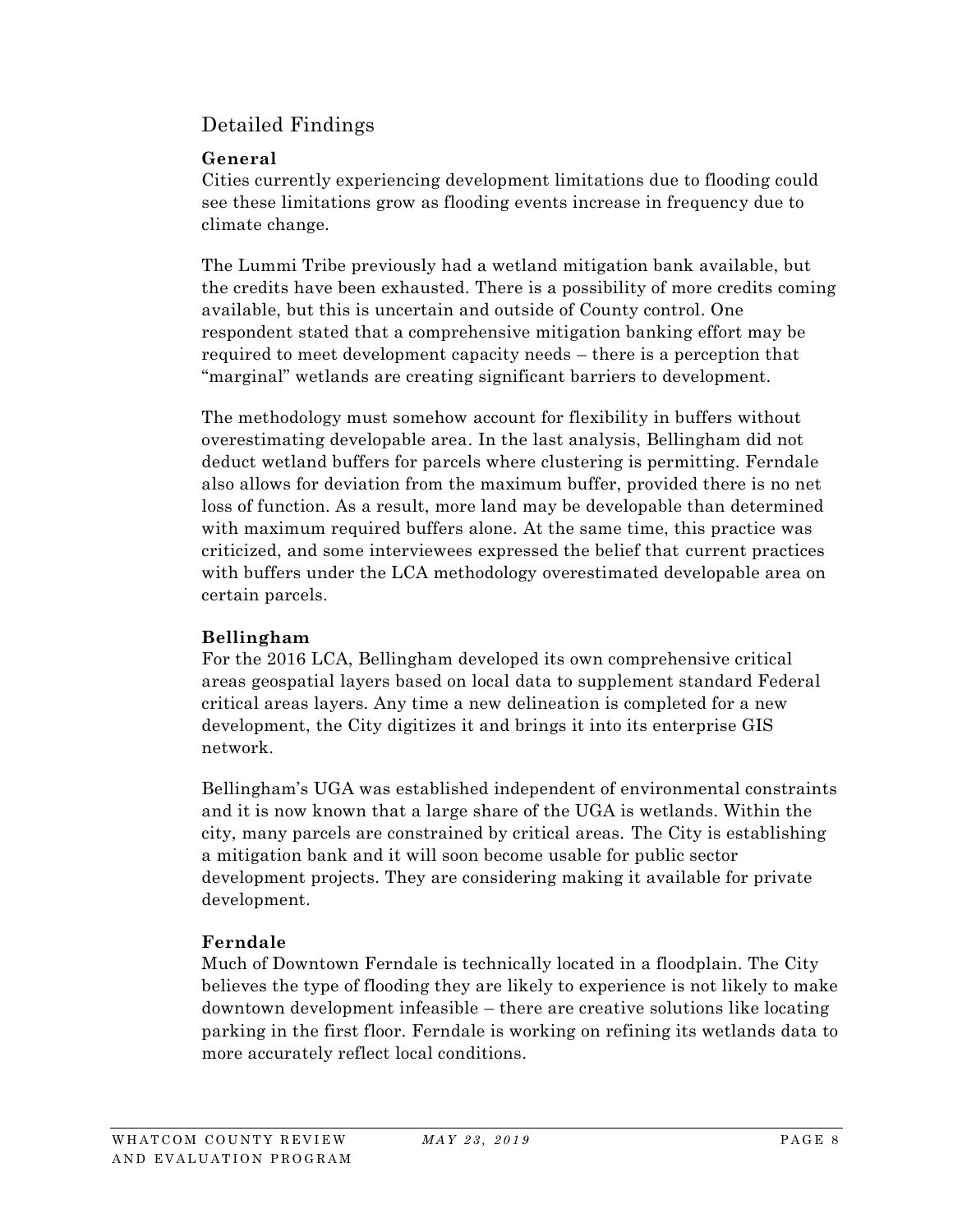## Detailed Findings

### **General**

Cities currently experiencing development limitations due to flooding could see these limitations grow as flooding events increase in frequency due to climate change.

The Lummi Tribe previously had a wetland mitigation bank available, but the credits have been exhausted. There is a possibility of more credits coming available, but this is uncertain and outside of County control. One respondent stated that a comprehensive mitigation banking effort may be required to meet development capacity needs – there is a perception that "marginal" wetlands are creating significant barriers to development.

The methodology must somehow account for flexibility in buffers without overestimating developable area. In the last analysis, Bellingham did not deduct wetland buffers for parcels where clustering is permitting. Ferndale also allows for deviation from the maximum buffer, provided there is no net loss of function. As a result, more land may be developable than determined with maximum required buffers alone. At the same time, this practice was criticized, and some interviewees expressed the belief that current practices with buffers under the LCA methodology overestimated developable area on certain parcels.

### **Bellingham**

For the 2016 LCA, Bellingham developed its own comprehensive critical areas geospatial layers based on local data to supplement standard Federal critical areas layers. Any time a new delineation is completed for a new development, the City digitizes it and brings it into its enterprise GIS network.

Bellingham's UGA was established independent of environmental constraints and it is now known that a large share of the UGA is wetlands. Within the city, many parcels are constrained by critical areas. The City is establishing a mitigation bank and it will soon become usable for public sector development projects. They are considering making it available for private development.

### **Ferndale**

Much of Downtown Ferndale is technically located in a floodplain. The City believes the type of flooding they are likely to experience is not likely to make downtown development infeasible – there are creative solutions like locating parking in the first floor. Ferndale is working on refining its wetlands data to more accurately reflect local conditions.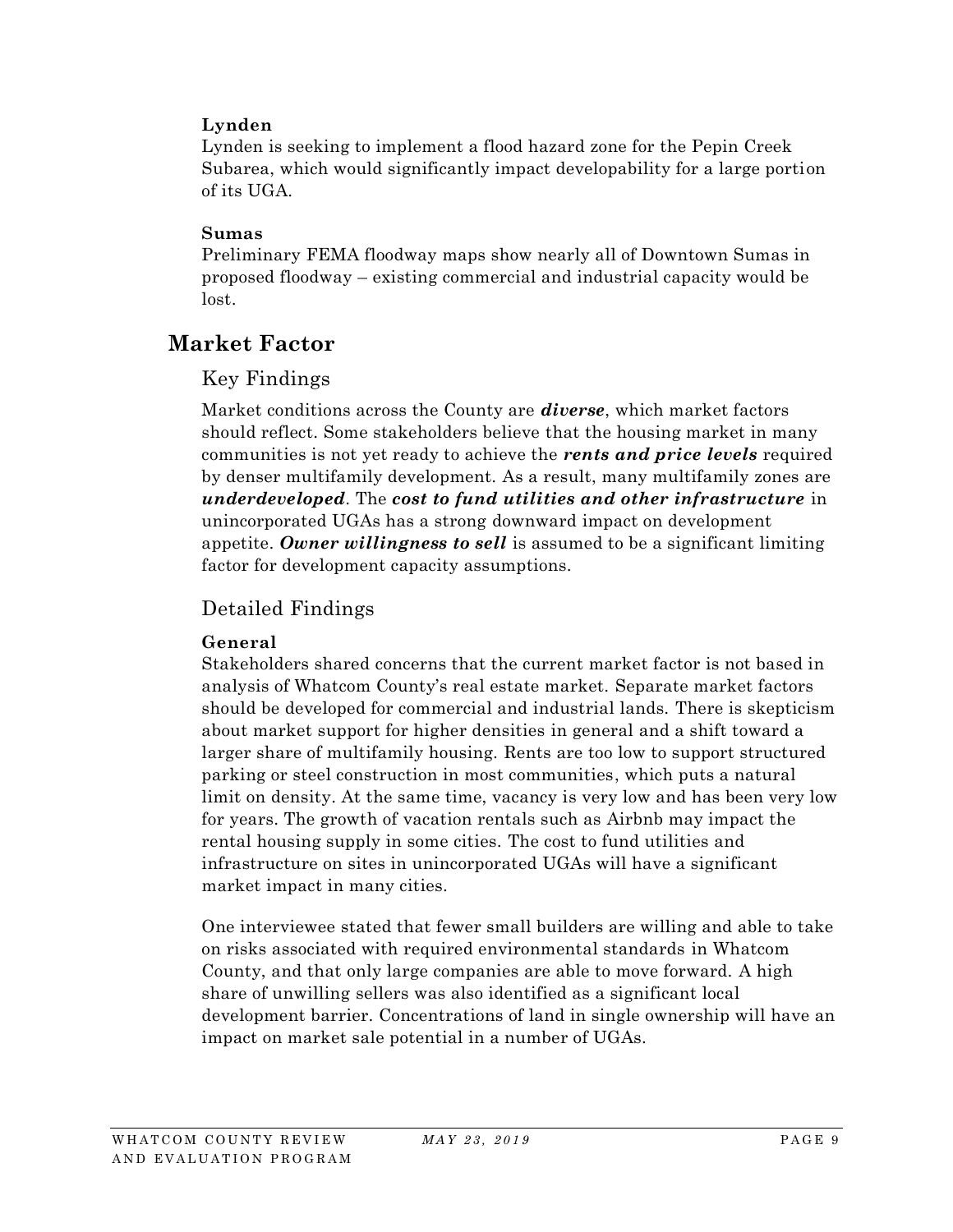#### **Lynden**

Lynden is seeking to implement a flood hazard zone for the Pepin Creek Subarea, which would significantly impact developability for a large portion of its UGA.

#### **Sumas**

Preliminary FEMA floodway maps show nearly all of Downtown Sumas in proposed floodway – existing commercial and industrial capacity would be lost.

# **Market Factor**

### Key Findings

Market conditions across the County are *diverse*, which market factors should reflect. Some stakeholders believe that the housing market in many communities is not yet ready to achieve the *rents and price levels* required by denser multifamily development. As a result, many multifamily zones are *underdeveloped*. The *cost to fund utilities and other infrastructure* in unincorporated UGAs has a strong downward impact on development appetite. *Owner willingness to sell* is assumed to be a significant limiting factor for development capacity assumptions.

## Detailed Findings

### **General**

Stakeholders shared concerns that the current market factor is not based in analysis of Whatcom County's real estate market. Separate market factors should be developed for commercial and industrial lands. There is skepticism about market support for higher densities in general and a shift toward a larger share of multifamily housing. Rents are too low to support structured parking or steel construction in most communities, which puts a natural limit on density. At the same time, vacancy is very low and has been very low for years. The growth of vacation rentals such as Airbnb may impact the rental housing supply in some cities. The cost to fund utilities and infrastructure on sites in unincorporated UGAs will have a significant market impact in many cities.

One interviewee stated that fewer small builders are willing and able to take on risks associated with required environmental standards in Whatcom County, and that only large companies are able to move forward. A high share of unwilling sellers was also identified as a significant local development barrier. Concentrations of land in single ownership will have an impact on market sale potential in a number of UGAs.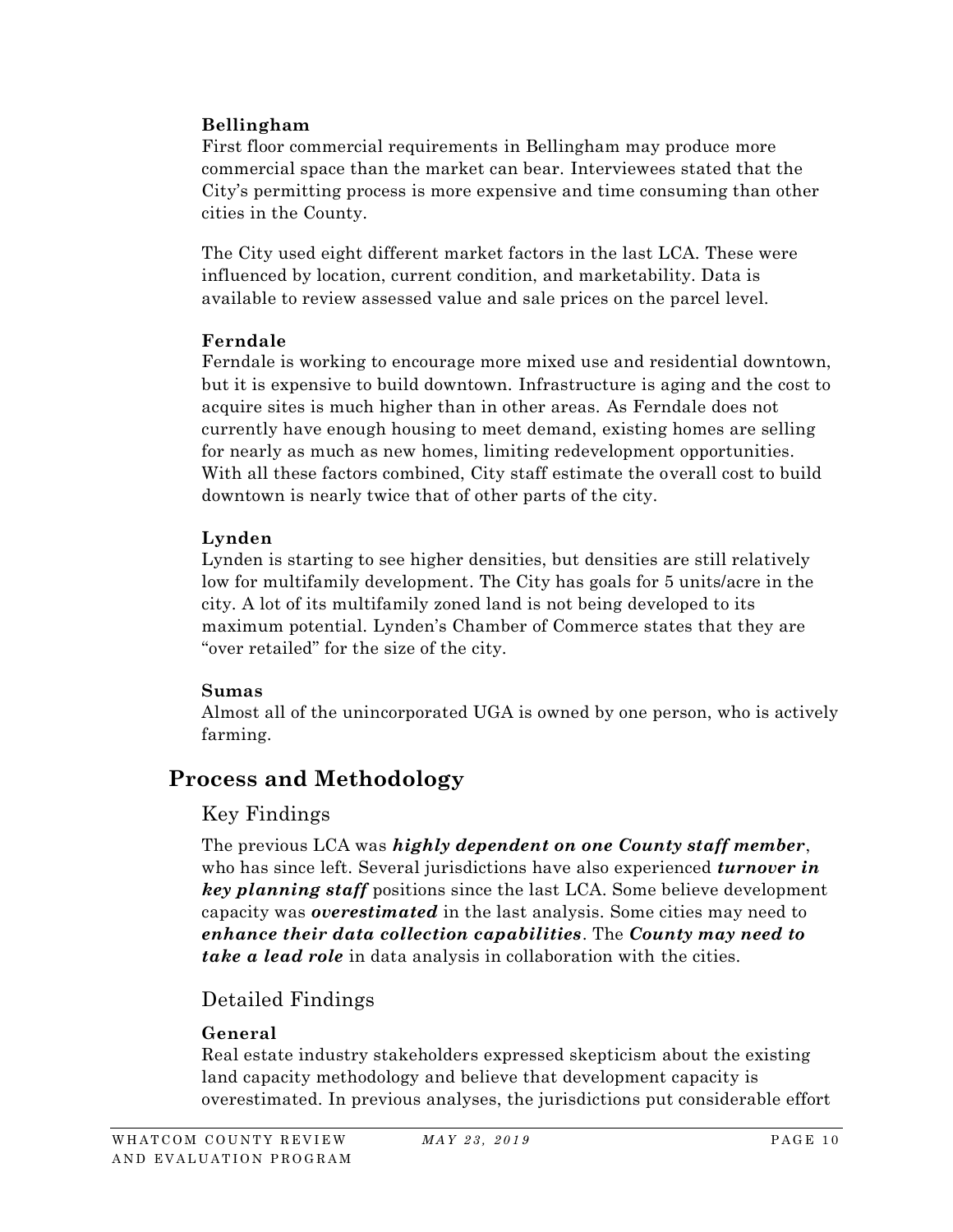#### **Bellingham**

First floor commercial requirements in Bellingham may produce more commercial space than the market can bear. Interviewees stated that the City's permitting process is more expensive and time consuming than other cities in the County.

The City used eight different market factors in the last LCA. These were influenced by location, current condition, and marketability. Data is available to review assessed value and sale prices on the parcel level.

#### **Ferndale**

Ferndale is working to encourage more mixed use and residential downtown, but it is expensive to build downtown. Infrastructure is aging and the cost to acquire sites is much higher than in other areas. As Ferndale does not currently have enough housing to meet demand, existing homes are selling for nearly as much as new homes, limiting redevelopment opportunities. With all these factors combined, City staff estimate the overall cost to build downtown is nearly twice that of other parts of the city.

#### **Lynden**

Lynden is starting to see higher densities, but densities are still relatively low for multifamily development. The City has goals for 5 units/acre in the city. A lot of its multifamily zoned land is not being developed to its maximum potential. Lynden's Chamber of Commerce states that they are "over retailed" for the size of the city.

#### **Sumas**

Almost all of the unincorporated UGA is owned by one person, who is actively farming.

# **Process and Methodology**

## Key Findings

The previous LCA was *highly dependent on one County staff member*, who has since left. Several jurisdictions have also experienced *turnover in key planning staff* positions since the last LCA. Some believe development capacity was *overestimated* in the last analysis. Some cities may need to *enhance their data collection capabilities*. The *County may need to take a lead role* in data analysis in collaboration with the cities.

## Detailed Findings

### **General**

Real estate industry stakeholders expressed skepticism about the existing land capacity methodology and believe that development capacity is overestimated. In previous analyses, the jurisdictions put considerable effort